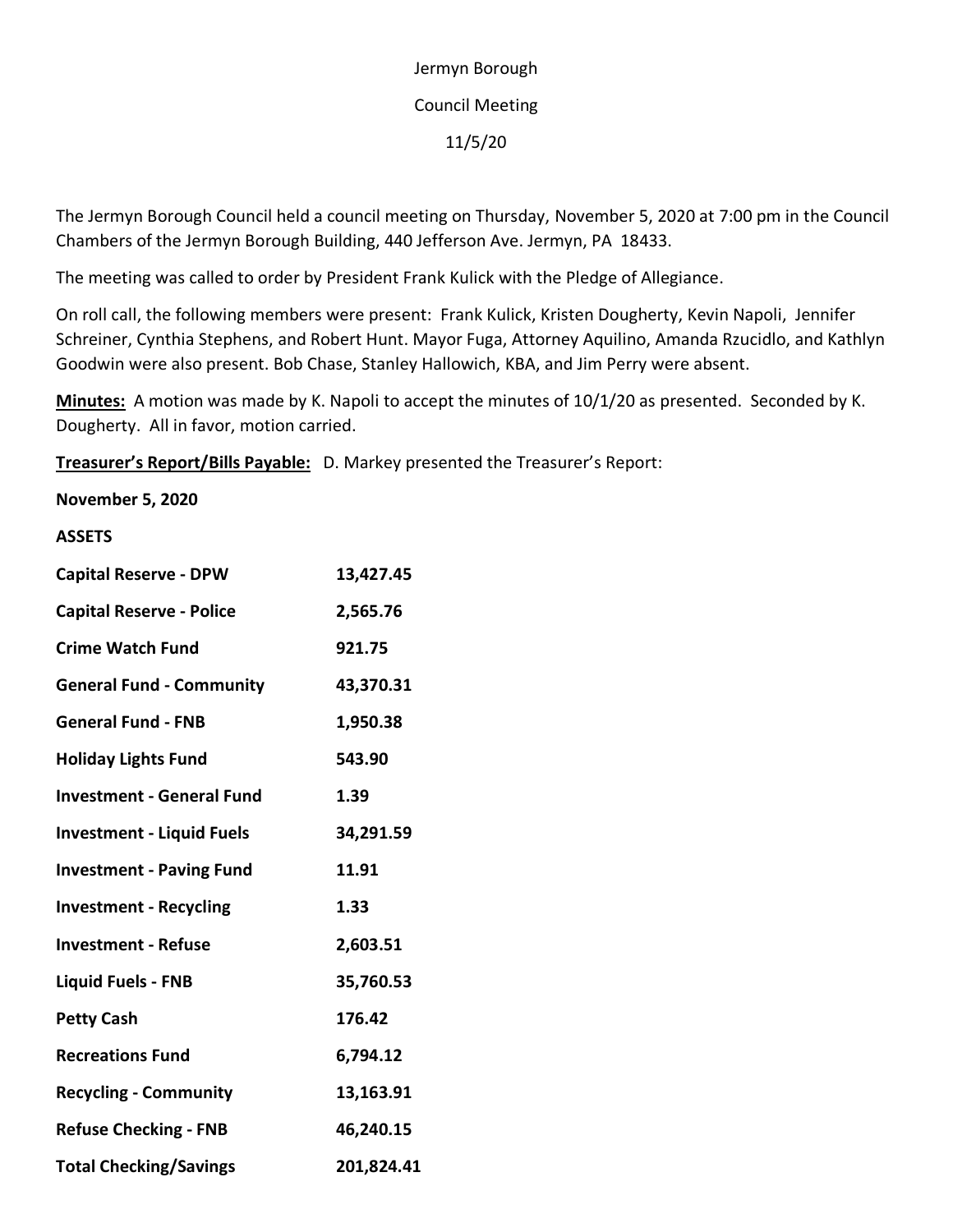## Jermyn Borough Council Meeting 11/5/20

The Jermyn Borough Council held a council meeting on Thursday, November 5, 2020 at 7:00 pm in the Council Chambers of the Jermyn Borough Building, 440 Jefferson Ave. Jermyn, PA 18433.

The meeting was called to order by President Frank Kulick with the Pledge of Allegiance.

On roll call, the following members were present: Frank Kulick, Kristen Dougherty, Kevin Napoli, Jennifer Schreiner, Cynthia Stephens, and Robert Hunt. Mayor Fuga, Attorney Aquilino, Amanda Rzucidlo, and Kathlyn Goodwin were also present. Bob Chase, Stanley Hallowich, KBA, and Jim Perry were absent.

**Minutes:** A motion was made by K. Napoli to accept the minutes of 10/1/20 as presented. Seconded by K. Dougherty. All in favor, motion carried.

**Treasurer's Report/Bills Payable:** D. Markey presented the Treasurer's Report:

**November 5, 2020**

## **ASSETS**

| <b>Capital Reserve - DPW</b>     | 13,427.45  |
|----------------------------------|------------|
| <b>Capital Reserve - Police</b>  | 2,565.76   |
| <b>Crime Watch Fund</b>          | 921.75     |
| <b>General Fund - Community</b>  | 43,370.31  |
| <b>General Fund - FNB</b>        | 1,950.38   |
| <b>Holiday Lights Fund</b>       | 543.90     |
| <b>Investment - General Fund</b> | 1.39       |
| <b>Investment - Liquid Fuels</b> | 34,291.59  |
| <b>Investment - Paving Fund</b>  | 11.91      |
| <b>Investment - Recycling</b>    | 1.33       |
| <b>Investment - Refuse</b>       | 2,603.51   |
| <b>Liquid Fuels - FNB</b>        | 35,760.53  |
| <b>Petty Cash</b>                | 176.42     |
| <b>Recreations Fund</b>          | 6,794.12   |
| <b>Recycling - Community</b>     | 13,163.91  |
| <b>Refuse Checking - FNB</b>     | 46,240.15  |
| <b>Total Checking/Savings</b>    | 201,824.41 |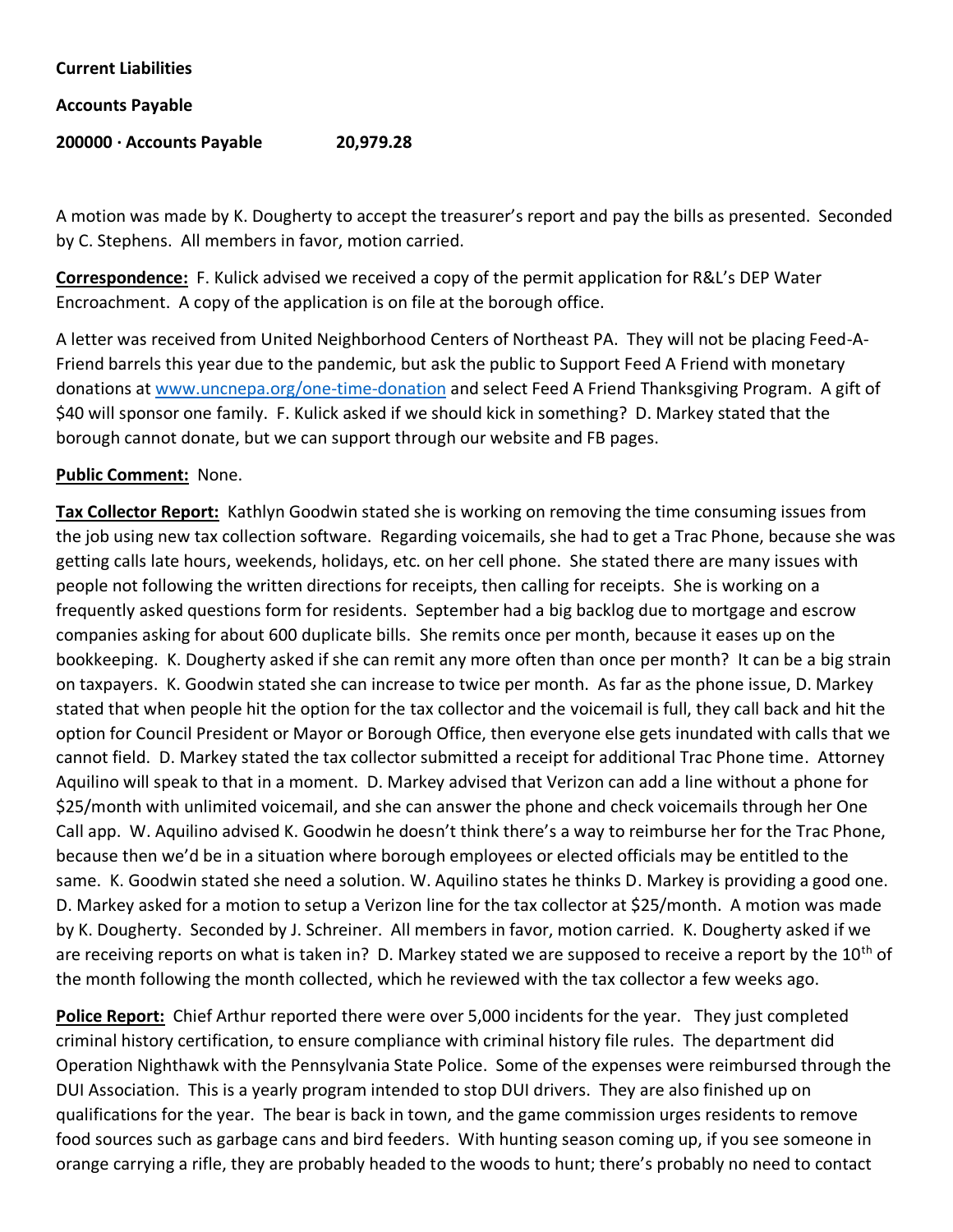| <b>Current Liabilities</b> |           |
|----------------------------|-----------|
| <b>Accounts Payable</b>    |           |
| 200000 · Accounts Payable  | 20,979.28 |

A motion was made by K. Dougherty to accept the treasurer's report and pay the bills as presented. Seconded by C. Stephens. All members in favor, motion carried.

**Correspondence:** F. Kulick advised we received a copy of the permit application for R&L's DEP Water Encroachment. A copy of the application is on file at the borough office.

A letter was received from United Neighborhood Centers of Northeast PA. They will not be placing Feed-A-Friend barrels this year due to the pandemic, but ask the public to Support Feed A Friend with monetary donations at [www.uncnepa.org/one-time-donation](http://www.uncnepa.org/one-time-donation) and select Feed A Friend Thanksgiving Program. A gift of \$40 will sponsor one family. F. Kulick asked if we should kick in something? D. Markey stated that the borough cannot donate, but we can support through our website and FB pages.

## **Public Comment:** None.

**Tax Collector Report:** Kathlyn Goodwin stated she is working on removing the time consuming issues from the job using new tax collection software. Regarding voicemails, she had to get a Trac Phone, because she was getting calls late hours, weekends, holidays, etc. on her cell phone. She stated there are many issues with people not following the written directions for receipts, then calling for receipts. She is working on a frequently asked questions form for residents. September had a big backlog due to mortgage and escrow companies asking for about 600 duplicate bills. She remits once per month, because it eases up on the bookkeeping. K. Dougherty asked if she can remit any more often than once per month? It can be a big strain on taxpayers. K. Goodwin stated she can increase to twice per month. As far as the phone issue, D. Markey stated that when people hit the option for the tax collector and the voicemail is full, they call back and hit the option for Council President or Mayor or Borough Office, then everyone else gets inundated with calls that we cannot field. D. Markey stated the tax collector submitted a receipt for additional Trac Phone time. Attorney Aquilino will speak to that in a moment. D. Markey advised that Verizon can add a line without a phone for \$25/month with unlimited voicemail, and she can answer the phone and check voicemails through her One Call app. W. Aquilino advised K. Goodwin he doesn't think there's a way to reimburse her for the Trac Phone, because then we'd be in a situation where borough employees or elected officials may be entitled to the same. K. Goodwin stated she need a solution. W. Aquilino states he thinks D. Markey is providing a good one. D. Markey asked for a motion to setup a Verizon line for the tax collector at \$25/month. A motion was made by K. Dougherty. Seconded by J. Schreiner. All members in favor, motion carried. K. Dougherty asked if we are receiving reports on what is taken in? D. Markey stated we are supposed to receive a report by the  $10<sup>th</sup>$  of the month following the month collected, which he reviewed with the tax collector a few weeks ago.

**Police Report:** Chief Arthur reported there were over 5,000 incidents for the year. They just completed criminal history certification, to ensure compliance with criminal history file rules. The department did Operation Nighthawk with the Pennsylvania State Police. Some of the expenses were reimbursed through the DUI Association. This is a yearly program intended to stop DUI drivers. They are also finished up on qualifications for the year. The bear is back in town, and the game commission urges residents to remove food sources such as garbage cans and bird feeders. With hunting season coming up, if you see someone in orange carrying a rifle, they are probably headed to the woods to hunt; there's probably no need to contact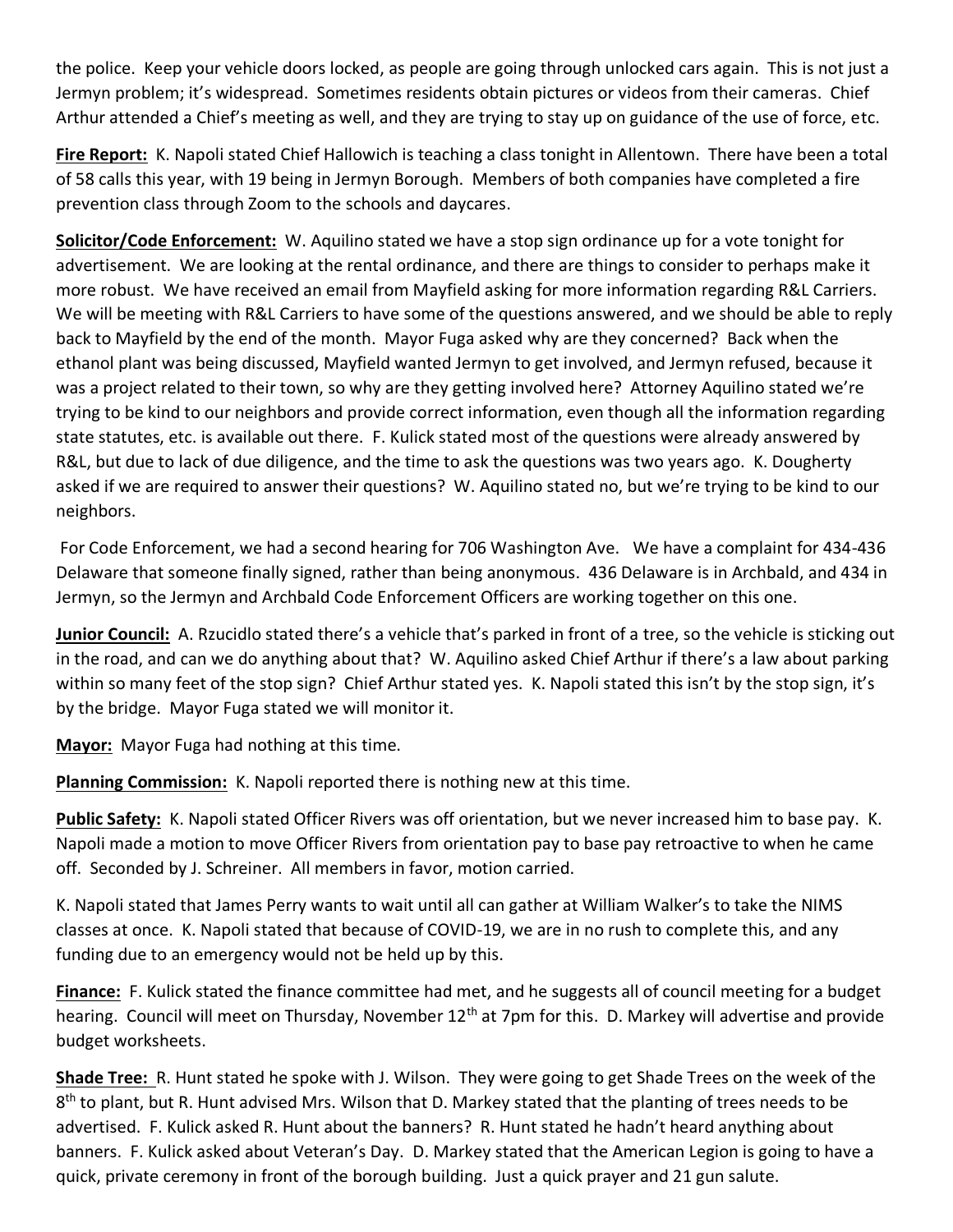the police. Keep your vehicle doors locked, as people are going through unlocked cars again. This is not just a Jermyn problem; it's widespread. Sometimes residents obtain pictures or videos from their cameras. Chief Arthur attended a Chief's meeting as well, and they are trying to stay up on guidance of the use of force, etc.

**Fire Report:** K. Napoli stated Chief Hallowich is teaching a class tonight in Allentown. There have been a total of 58 calls this year, with 19 being in Jermyn Borough. Members of both companies have completed a fire prevention class through Zoom to the schools and daycares.

**Solicitor/Code Enforcement:** W. Aquilino stated we have a stop sign ordinance up for a vote tonight for advertisement. We are looking at the rental ordinance, and there are things to consider to perhaps make it more robust. We have received an email from Mayfield asking for more information regarding R&L Carriers. We will be meeting with R&L Carriers to have some of the questions answered, and we should be able to reply back to Mayfield by the end of the month. Mayor Fuga asked why are they concerned? Back when the ethanol plant was being discussed, Mayfield wanted Jermyn to get involved, and Jermyn refused, because it was a project related to their town, so why are they getting involved here? Attorney Aquilino stated we're trying to be kind to our neighbors and provide correct information, even though all the information regarding state statutes, etc. is available out there. F. Kulick stated most of the questions were already answered by R&L, but due to lack of due diligence, and the time to ask the questions was two years ago. K. Dougherty asked if we are required to answer their questions? W. Aquilino stated no, but we're trying to be kind to our neighbors.

For Code Enforcement, we had a second hearing for 706 Washington Ave. We have a complaint for 434-436 Delaware that someone finally signed, rather than being anonymous. 436 Delaware is in Archbald, and 434 in Jermyn, so the Jermyn and Archbald Code Enforcement Officers are working together on this one.

**Junior Council:** A. Rzucidlo stated there's a vehicle that's parked in front of a tree, so the vehicle is sticking out in the road, and can we do anything about that? W. Aquilino asked Chief Arthur if there's a law about parking within so many feet of the stop sign? Chief Arthur stated yes. K. Napoli stated this isn't by the stop sign, it's by the bridge. Mayor Fuga stated we will monitor it.

**Mayor:** Mayor Fuga had nothing at this time.

**Planning Commission:** K. Napoli reported there is nothing new at this time.

**Public Safety:** K. Napoli stated Officer Rivers was off orientation, but we never increased him to base pay. K. Napoli made a motion to move Officer Rivers from orientation pay to base pay retroactive to when he came off. Seconded by J. Schreiner. All members in favor, motion carried.

K. Napoli stated that James Perry wants to wait until all can gather at William Walker's to take the NIMS classes at once. K. Napoli stated that because of COVID-19, we are in no rush to complete this, and any funding due to an emergency would not be held up by this.

**Finance:** F. Kulick stated the finance committee had met, and he suggests all of council meeting for a budget hearing. Council will meet on Thursday, November 12<sup>th</sup> at 7pm for this. D. Markey will advertise and provide budget worksheets.

**Shade Tree:** R. Hunt stated he spoke with J. Wilson. They were going to get Shade Trees on the week of the 8<sup>th</sup> to plant, but R. Hunt advised Mrs. Wilson that D. Markey stated that the planting of trees needs to be advertised. F. Kulick asked R. Hunt about the banners? R. Hunt stated he hadn't heard anything about banners. F. Kulick asked about Veteran's Day. D. Markey stated that the American Legion is going to have a quick, private ceremony in front of the borough building. Just a quick prayer and 21 gun salute.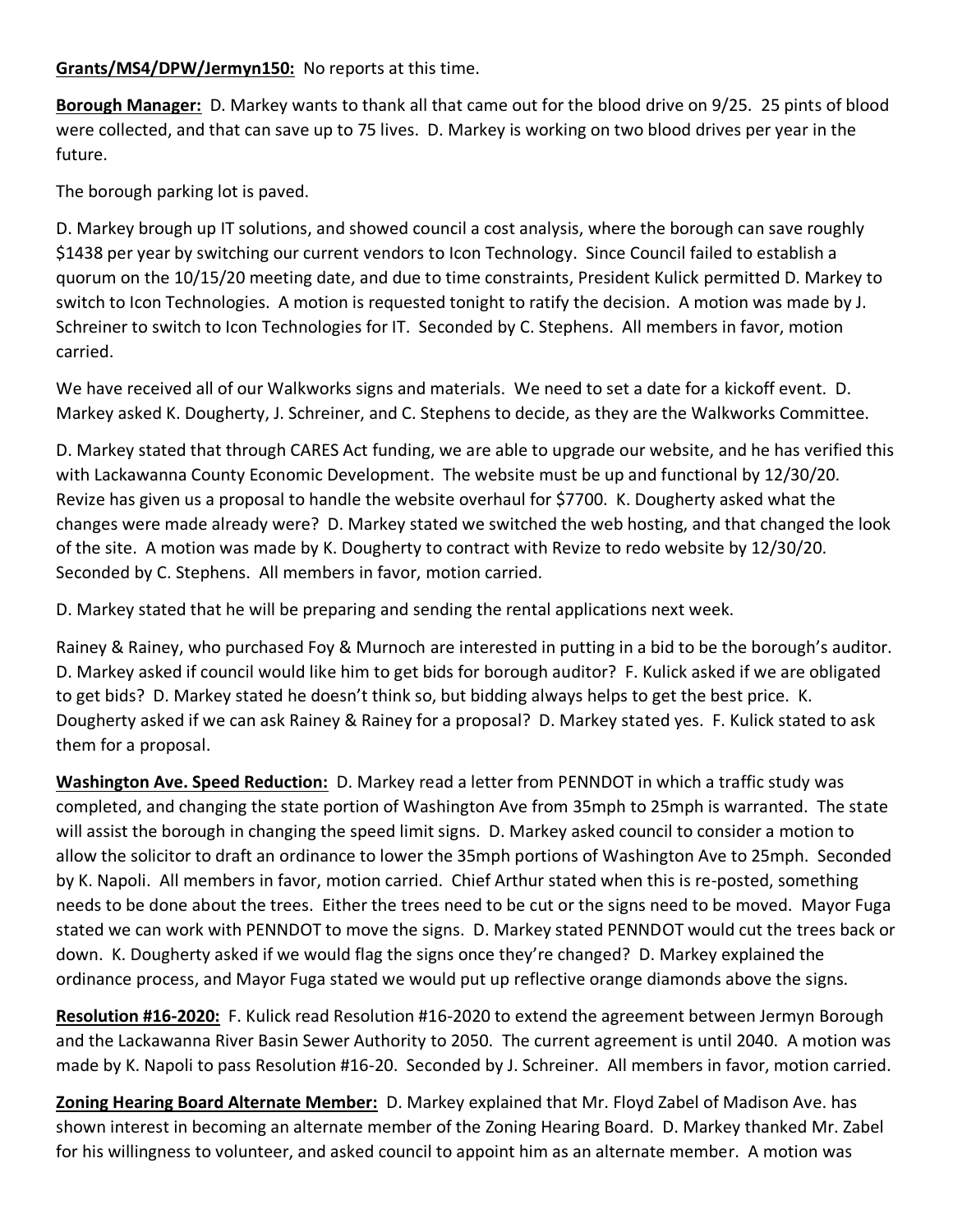## **Grants/MS4/DPW/Jermyn150:** No reports at this time.

**Borough Manager:** D. Markey wants to thank all that came out for the blood drive on 9/25. 25 pints of blood were collected, and that can save up to 75 lives. D. Markey is working on two blood drives per year in the future.

The borough parking lot is paved.

D. Markey brough up IT solutions, and showed council a cost analysis, where the borough can save roughly \$1438 per year by switching our current vendors to Icon Technology. Since Council failed to establish a quorum on the 10/15/20 meeting date, and due to time constraints, President Kulick permitted D. Markey to switch to Icon Technologies. A motion is requested tonight to ratify the decision. A motion was made by J. Schreiner to switch to Icon Technologies for IT. Seconded by C. Stephens. All members in favor, motion carried.

We have received all of our Walkworks signs and materials. We need to set a date for a kickoff event. D. Markey asked K. Dougherty, J. Schreiner, and C. Stephens to decide, as they are the Walkworks Committee.

D. Markey stated that through CARES Act funding, we are able to upgrade our website, and he has verified this with Lackawanna County Economic Development. The website must be up and functional by 12/30/20. Revize has given us a proposal to handle the website overhaul for \$7700. K. Dougherty asked what the changes were made already were? D. Markey stated we switched the web hosting, and that changed the look of the site. A motion was made by K. Dougherty to contract with Revize to redo website by 12/30/20. Seconded by C. Stephens. All members in favor, motion carried.

D. Markey stated that he will be preparing and sending the rental applications next week.

Rainey & Rainey, who purchased Foy & Murnoch are interested in putting in a bid to be the borough's auditor. D. Markey asked if council would like him to get bids for borough auditor? F. Kulick asked if we are obligated to get bids? D. Markey stated he doesn't think so, but bidding always helps to get the best price. K. Dougherty asked if we can ask Rainey & Rainey for a proposal? D. Markey stated yes. F. Kulick stated to ask them for a proposal.

**Washington Ave. Speed Reduction:** D. Markey read a letter from PENNDOT in which a traffic study was completed, and changing the state portion of Washington Ave from 35mph to 25mph is warranted. The state will assist the borough in changing the speed limit signs. D. Markey asked council to consider a motion to allow the solicitor to draft an ordinance to lower the 35mph portions of Washington Ave to 25mph. Seconded by K. Napoli. All members in favor, motion carried. Chief Arthur stated when this is re-posted, something needs to be done about the trees. Either the trees need to be cut or the signs need to be moved. Mayor Fuga stated we can work with PENNDOT to move the signs. D. Markey stated PENNDOT would cut the trees back or down. K. Dougherty asked if we would flag the signs once they're changed? D. Markey explained the ordinance process, and Mayor Fuga stated we would put up reflective orange diamonds above the signs.

**Resolution #16-2020:** F. Kulick read Resolution #16-2020 to extend the agreement between Jermyn Borough and the Lackawanna River Basin Sewer Authority to 2050. The current agreement is until 2040. A motion was made by K. Napoli to pass Resolution #16-20. Seconded by J. Schreiner. All members in favor, motion carried.

**Zoning Hearing Board Alternate Member:** D. Markey explained that Mr. Floyd Zabel of Madison Ave. has shown interest in becoming an alternate member of the Zoning Hearing Board. D. Markey thanked Mr. Zabel for his willingness to volunteer, and asked council to appoint him as an alternate member. A motion was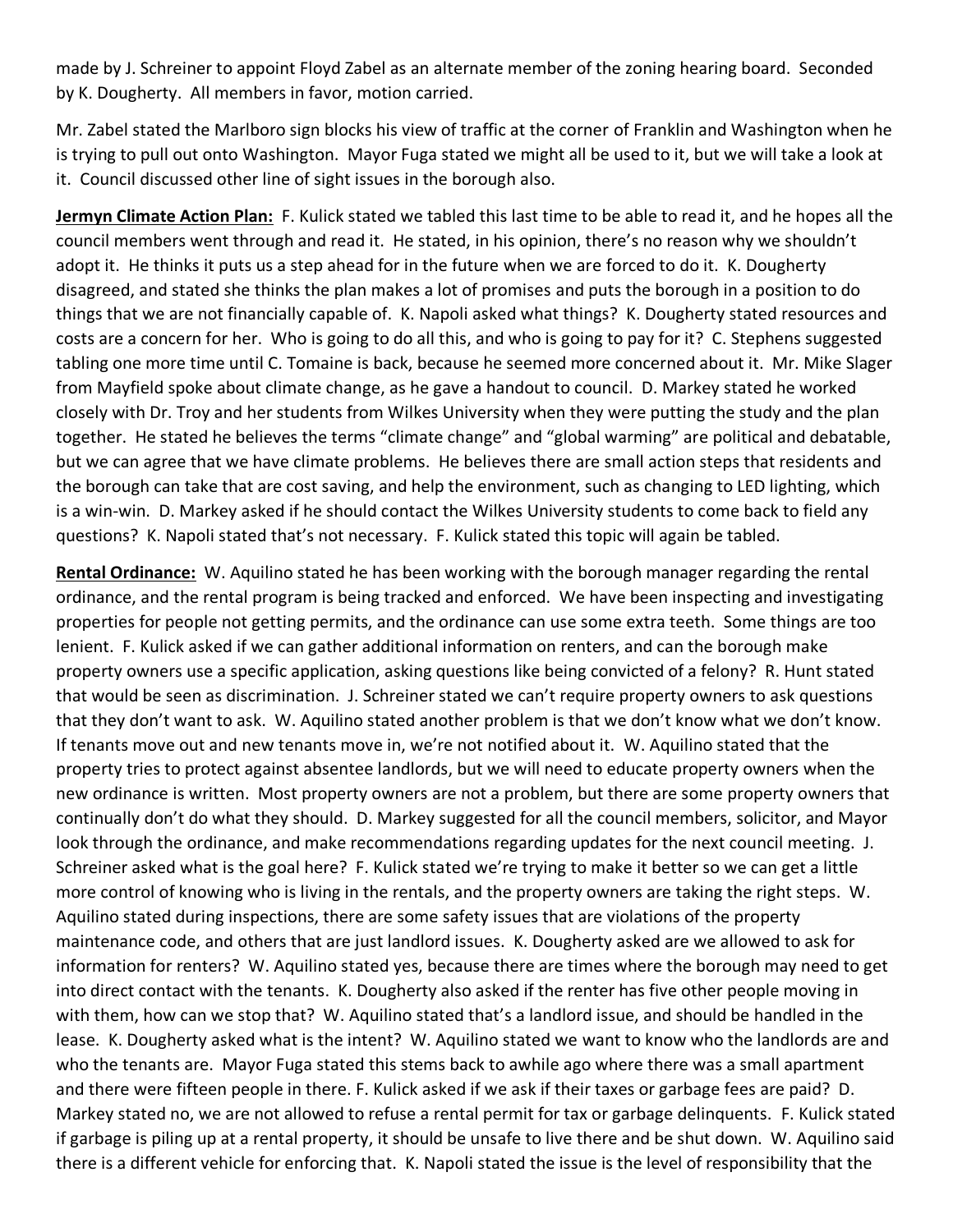made by J. Schreiner to appoint Floyd Zabel as an alternate member of the zoning hearing board. Seconded by K. Dougherty. All members in favor, motion carried.

Mr. Zabel stated the Marlboro sign blocks his view of traffic at the corner of Franklin and Washington when he is trying to pull out onto Washington. Mayor Fuga stated we might all be used to it, but we will take a look at it. Council discussed other line of sight issues in the borough also.

**Jermyn Climate Action Plan:** F. Kulick stated we tabled this last time to be able to read it, and he hopes all the council members went through and read it. He stated, in his opinion, there's no reason why we shouldn't adopt it. He thinks it puts us a step ahead for in the future when we are forced to do it. K. Dougherty disagreed, and stated she thinks the plan makes a lot of promises and puts the borough in a position to do things that we are not financially capable of. K. Napoli asked what things? K. Dougherty stated resources and costs are a concern for her. Who is going to do all this, and who is going to pay for it? C. Stephens suggested tabling one more time until C. Tomaine is back, because he seemed more concerned about it. Mr. Mike Slager from Mayfield spoke about climate change, as he gave a handout to council. D. Markey stated he worked closely with Dr. Troy and her students from Wilkes University when they were putting the study and the plan together. He stated he believes the terms "climate change" and "global warming" are political and debatable, but we can agree that we have climate problems. He believes there are small action steps that residents and the borough can take that are cost saving, and help the environment, such as changing to LED lighting, which is a win-win. D. Markey asked if he should contact the Wilkes University students to come back to field any questions? K. Napoli stated that's not necessary. F. Kulick stated this topic will again be tabled.

**Rental Ordinance:** W. Aquilino stated he has been working with the borough manager regarding the rental ordinance, and the rental program is being tracked and enforced. We have been inspecting and investigating properties for people not getting permits, and the ordinance can use some extra teeth. Some things are too lenient. F. Kulick asked if we can gather additional information on renters, and can the borough make property owners use a specific application, asking questions like being convicted of a felony? R. Hunt stated that would be seen as discrimination. J. Schreiner stated we can't require property owners to ask questions that they don't want to ask. W. Aquilino stated another problem is that we don't know what we don't know. If tenants move out and new tenants move in, we're not notified about it. W. Aquilino stated that the property tries to protect against absentee landlords, but we will need to educate property owners when the new ordinance is written. Most property owners are not a problem, but there are some property owners that continually don't do what they should. D. Markey suggested for all the council members, solicitor, and Mayor look through the ordinance, and make recommendations regarding updates for the next council meeting. J. Schreiner asked what is the goal here? F. Kulick stated we're trying to make it better so we can get a little more control of knowing who is living in the rentals, and the property owners are taking the right steps. W. Aquilino stated during inspections, there are some safety issues that are violations of the property maintenance code, and others that are just landlord issues. K. Dougherty asked are we allowed to ask for information for renters? W. Aquilino stated yes, because there are times where the borough may need to get into direct contact with the tenants. K. Dougherty also asked if the renter has five other people moving in with them, how can we stop that? W. Aquilino stated that's a landlord issue, and should be handled in the lease. K. Dougherty asked what is the intent? W. Aquilino stated we want to know who the landlords are and who the tenants are. Mayor Fuga stated this stems back to awhile ago where there was a small apartment and there were fifteen people in there. F. Kulick asked if we ask if their taxes or garbage fees are paid? D. Markey stated no, we are not allowed to refuse a rental permit for tax or garbage delinquents. F. Kulick stated if garbage is piling up at a rental property, it should be unsafe to live there and be shut down. W. Aquilino said there is a different vehicle for enforcing that. K. Napoli stated the issue is the level of responsibility that the